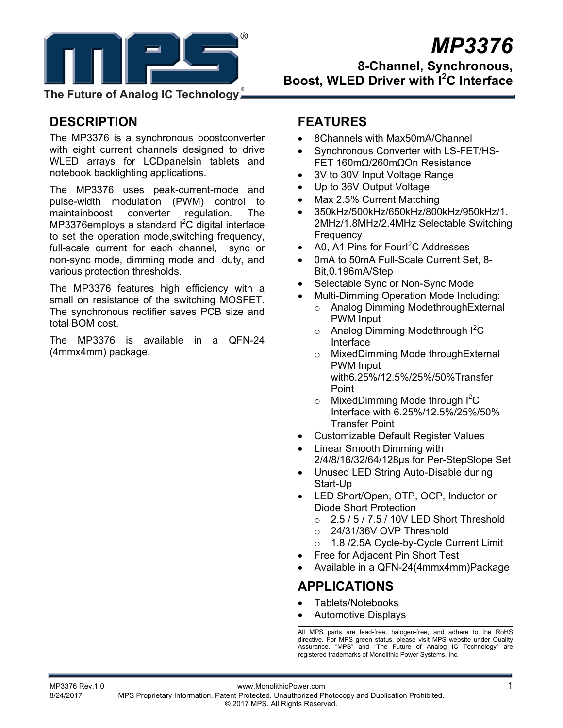

# *MP3376*

**8-Channel, Synchronous, Boost, WLED Driver with I<sup>2</sup> C Interface** 

**The Future of Analog IC Technology**

# **DESCRIPTION**

The MP3376 is a synchronous boostconverter with eight current channels designed to drive WLED arrays for LCDpanelsin tablets and notebook backlighting applications.

The MP3376 uses peak-current-mode and pulse-width modulation (PWM) control to maintainboost converter regulation. The MP3376employs a standard  $l^2C$  digital interface to set the operation mode,switching frequency, full-scale current for each channel, sync or non-sync mode, dimming mode and duty, and various protection thresholds.

The MP3376 features high efficiency with a small on resistance of the switching MOSFET. The synchronous rectifier saves PCB size and total BOM cost.

The MP3376 is available in a QFN-24 (4mmx4mm) package.

# **FEATURES**

- 8Channels with Max50mA/Channel
- Synchronous Converter with LS-FET/HS-FET 160mΩ/260mΩOn Resistance
- 3V to 30V Input Voltage Range
- Up to 36V Output Voltage
- Max 2.5% Current Matching
- 350kHz/500kHz/650kHz/800kHz/950kHz/1. 2MHz/1.8MHz/2.4MHz Selectable Switching **Frequency**
- A0, A1 Pins for Fourl<sup>2</sup>C Addresses
- 0mA to 50mA Full-Scale Current Set, 8- Bit,0.196mA/Step
- Selectable Sync or Non-Sync Mode
- Multi-Dimming Operation Mode Including:
	- o Analog Dimming ModethroughExternal PWM Input
	- $\circ$  Analog Dimming Modethrough  $l^2C$ Interface
	- o MixedDimming Mode throughExternal PWM Input with6.25%/12.5%/25%/50%Transfer Point
	- $\circ$  MixedDimming Mode through  $l^2C$ Interface with 6.25%/12.5%/25%/50% Transfer Point
- Customizable Default Register Values
- Linear Smooth Dimming with
	- 2/4/8/16/32/64/128µs for Per-StepSlope Set
- Unused LED String Auto-Disable during Start-Up
- LED Short/Open, OTP, OCP, Inductor or Diode Short Protection
	- $\circ$  2.5 / 5 / 7.5 / 10V LED Short Threshold
	- o 24/31/36V OVP Threshold
	- 1.8 /2.5A Cycle-by-Cycle Current Limit
- Free for Adjacent Pin Short Test
- Available in a QFN-24(4mmx4mm)Package

# **APPLICATIONS**

- Tablets/Notebooks
- Automotive Displays

All MPS parts are lead-free, halogen-free, and adhere to the RoHS directive. For MPS green status, please visit MPS website under Quality Assurance. "MPS" and "The Future of Analog IC Technology" are registered trademarks of Monolithic Power Systems, Inc.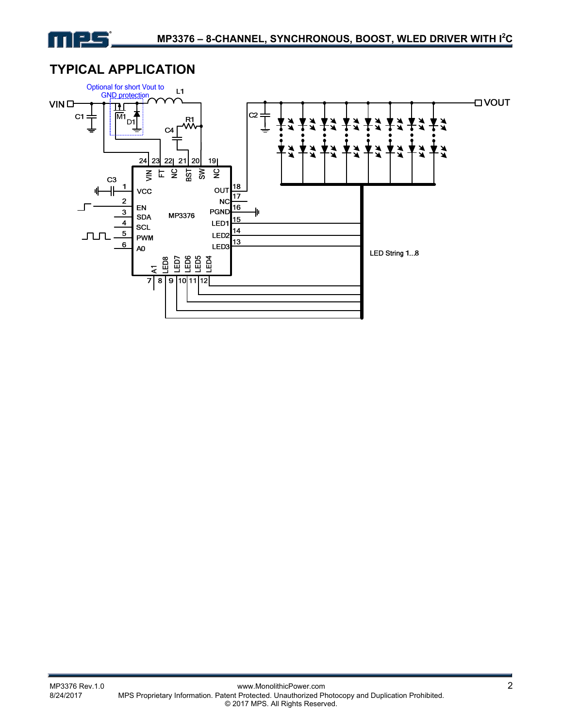

# **TYPICAL APPLICATION**

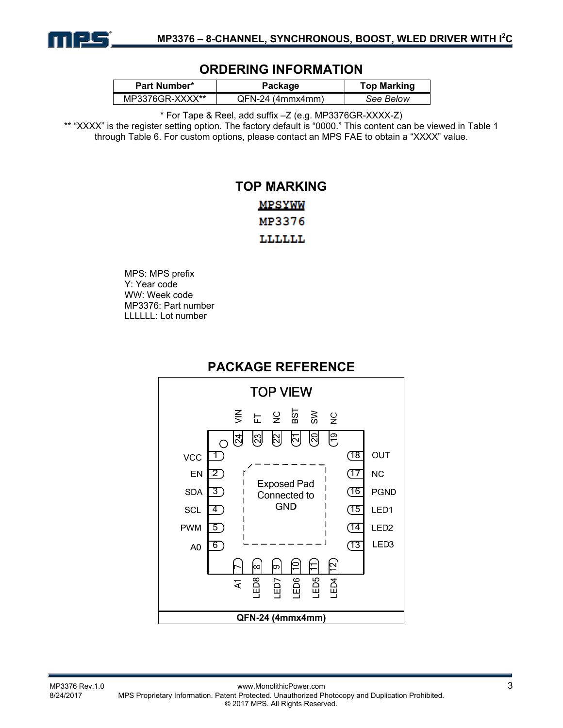

# **ORDERING INFORMATION**

| <b>Part Number*</b> | Package          | <b>Top Marking</b> |
|---------------------|------------------|--------------------|
| MP3376GR-XXXX**     | QFN-24 (4mmx4mm) | See Below          |

\* For Tape & Reel, add suffix –Z (e.g. MP3376GR-XXXX-Z)

\*\* "XXXX" is the register setting option. The factory default is "0000." This content can be viewed in Table 1 through Table 6. For custom options, please contact an MPS FAE to obtain a "XXXX" value.

# **TOP MARKING MPSYWW** MP3376 LLLLLL

MPS: MPS prefix Y: Year code WW: Week code MP3376: Part number LLLLLL: Lot number



# **PACKAGE REFERENCE**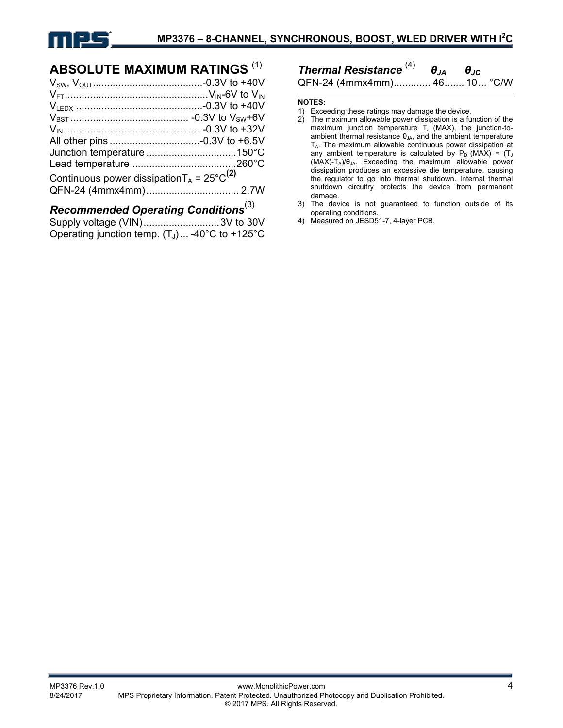

# **ABSOLUTE MAXIMUM RATINGS** (1)

| Continuous power dissipation $T_A = 25^{\circ}C^{(2)}$ |  |
|--------------------------------------------------------|--|
|                                                        |  |
|                                                        |  |

# *Recommended Operating Conditions*(3)

| Supply voltage (VIN)3V to 30V                    |  |
|--------------------------------------------------|--|
| Operating junction temp. $(T_J)$ -40°C to +125°C |  |

# *Thermal Resistance* (4) *θJA θJC* QFN-24 (4mmx4mm) ............. 46 ....... 10 ... °C/W

**NOTES:** 

- 1) Exceeding these ratings may damage the device.
- 2) The maximum allowable power dissipation is a function of the maximum junction temperature  $T_J$  (MAX), the junction-toambient thermal resistance  $\theta_{JA}$ , and the ambient temperature TA. The maximum allowable continuous power dissipation at any ambient temperature is calculated by  $P_D$  (MAX) = (T<sub>J</sub> (MAX)-TA)/θJA. Exceeding the maximum allowable power dissipation produces an excessive die temperature, causing the regulator to go into thermal shutdown. Internal thermal shutdown circuitry protects the device from permanent damage.
- 3) The device is not guaranteed to function outside of its operating conditions.
- 4) Measured on JESD51-7, 4-layer PCB.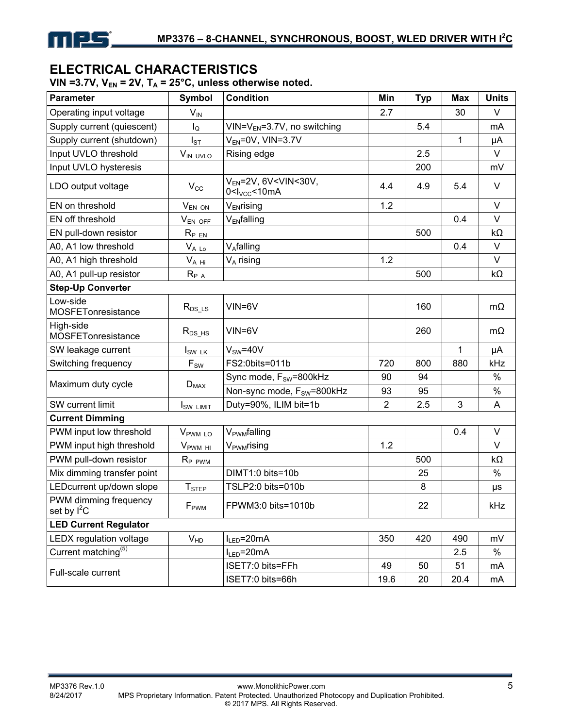

# **ELECTRICAL CHARACTERISTICS**

VIN =3.7V,  $V_{EN}$  = 2V,  $T_A$  = 25°C, unless otherwise noted.

| <b>Parameter</b>                       | <b>Symbol</b>         | <b>Condition</b>                                                                        | Min            | <b>Typ</b> | <b>Max</b> | <b>Units</b> |
|----------------------------------------|-----------------------|-----------------------------------------------------------------------------------------|----------------|------------|------------|--------------|
| Operating input voltage                | $V_{IN}$              |                                                                                         | 2.7            |            | 30         | $\vee$       |
| Supply current (quiescent)             | $I_{\mathsf{Q}}$      | $VIN=V_{EN}=3.7V$ , no switching                                                        |                | 5.4        |            | mA           |
| Supply current (shutdown)              | $I_{ST}$              | $V_{EN}$ =0V, VIN=3.7V                                                                  |                |            | 1          | μA           |
| Input UVLO threshold                   | VIN UVLO              | Rising edge                                                                             |                | 2.5        |            | $\vee$       |
| Input UVLO hysteresis                  |                       |                                                                                         |                | 200        |            | mV           |
| LDO output voltage                     | $V_{\rm CC}$          | $V_{EN}$ =2V, 6V <vin<30v,<br>0 &lt; I<sub>VCC</sub> &lt; 10<sub>m</sub>A</vin<30v,<br> | 4.4            | 4.9        | 5.4        | $\vee$       |
| EN on threshold                        | $V_{EN ON}$           | V <sub>EN</sub> rising                                                                  | 1.2            |            |            | $\vee$       |
| EN off threshold                       | $V_{EN OFF}$          | V <sub>EN</sub> falling                                                                 |                |            | 0.4        | $\vee$       |
| EN pull-down resistor                  | $R_{PEN}$             |                                                                                         |                | 500        |            | $k\Omega$    |
| A0, A1 low threshold                   | $V_{A L_0}$           | V <sub>A</sub> falling                                                                  |                |            | 0.4        | $\vee$       |
| A0, A1 high threshold                  | $V_{A Hi}$            | $V_A$ rising                                                                            | 1.2            |            |            | $\vee$       |
| A0, A1 pull-up resistor                | $R_{P\ A}$            |                                                                                         |                | 500        |            | $k\Omega$    |
| <b>Step-Up Converter</b>               |                       |                                                                                         |                |            |            |              |
| Low-side<br>MOSFETonresistance         | $R_{DS\_{LS}}$        | VIN=6V                                                                                  |                | 160        |            | $m\Omega$    |
| High-side<br>MOSFETonresistance        | $R_{DS_HS}$           | VIN=6V                                                                                  |                | 260        |            | $m\Omega$    |
| SW leakage current                     | $I_{SW LK}$           | $V_{SW} = 40V$                                                                          |                |            | 1          | μA           |
| Switching frequency                    | $F_{SW}$              | FS2:0bits=011b                                                                          | 720            | 800        | 880        | kHz          |
|                                        |                       | Sync mode, F <sub>sw</sub> =800kHz                                                      | 90             | 94         |            | $\%$         |
| Maximum duty cycle                     | $D_{MAX}$             | Non-sync mode, F <sub>SW</sub> =800kHz                                                  | 93             | 95         |            | $\%$         |
| SW current limit                       | I <sub>SW LIMIT</sub> | Duty=90%, ILIM bit=1b                                                                   | $\overline{2}$ | 2.5        | 3          | Α            |
| <b>Current Dimming</b>                 |                       |                                                                                         |                |            |            |              |
| PWM input low threshold                | V <sub>PWM LO</sub>   | V <sub>PWM</sub> falling                                                                |                |            | 0.4        | V            |
| PWM input high threshold               | $V_{\text{PWM HI}}$   | V <sub>PWM</sub> rising                                                                 | 1.2            |            |            | $\vee$       |
| PWM pull-down resistor                 | R <sub>P PWM</sub>    |                                                                                         |                | 500        |            | $k\Omega$    |
| Mix dimming transfer point             |                       | DIMT1:0 bits=10b                                                                        |                | 25         |            | $\%$         |
| LEDcurrent up/down slope               | $T_{\text{STEP}}$     | TSLP2:0 bits=010b                                                                       |                | 8          |            | μs           |
| PWM dimming frequency<br>set by $I^2C$ | F <sub>PWM</sub>      | FPWM3:0 bits=1010b                                                                      |                | 22         |            | kHz          |
| <b>LED Current Regulator</b>           |                       |                                                                                         |                |            |            |              |
| LEDX regulation voltage                | V <sub>HD</sub>       | $I_{LED} = 20mA$                                                                        | 350            | 420        | 490        | mV           |
| Current matching <sup>(5)</sup>        |                       | $I_{LED} = 20mA$                                                                        |                |            | 2.5        | $\%$         |
| Full-scale current                     |                       | ISET7:0 bits=FFh                                                                        | 49             | 50         | 51         | mA           |
|                                        |                       | ISET7:0 bits=66h                                                                        | 19.6           | 20         | 20.4       | mA           |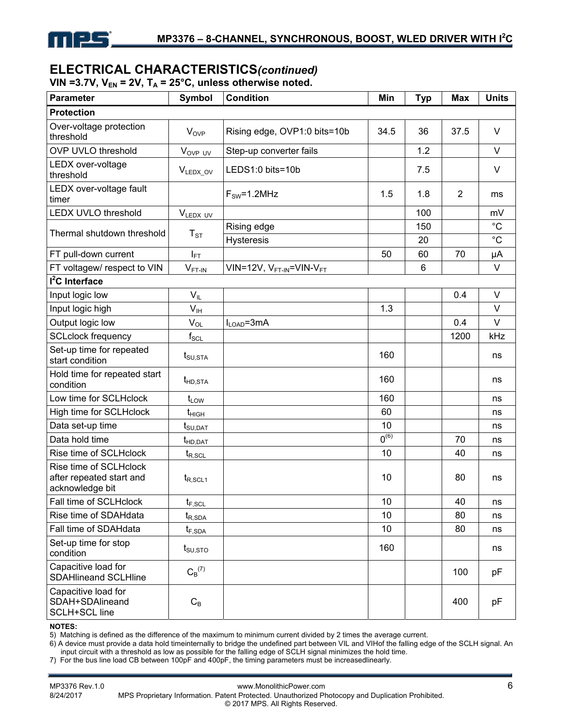

# **ELECTRICAL CHARACTERISTICS***(continued)*

VIN =3.7V,  $V_{EN}$  = 2V,  $T_A$  = 25°C, unless otherwise noted.

| <b>Parameter</b>                                                      | <b>Symbol</b>                             | <b>Condition</b>                                 | Min       | <b>Typ</b> | <b>Max</b>     | <b>Units</b>               |
|-----------------------------------------------------------------------|-------------------------------------------|--------------------------------------------------|-----------|------------|----------------|----------------------------|
| <b>Protection</b>                                                     |                                           |                                                  |           |            |                |                            |
| Over-voltage protection<br>threshold                                  | $V_{OVP}$                                 | Rising edge, OVP1:0 bits=10b                     | 34.5      | 36         | 37.5           | $\vee$                     |
| <b>OVP UVLO threshold</b>                                             | V <sub>OVP UV</sub>                       | Step-up converter fails                          |           | 1.2        |                | V                          |
| LEDX over-voltage<br>threshold                                        | $V_{LEDX_0}$                              | LEDS1:0 bits=10b                                 |           | 7.5        |                | V                          |
| LEDX over-voltage fault<br>timer                                      |                                           | $F_{SW} = 1.2 MHz$                               | 1.5       | 1.8        | $\overline{2}$ | ms                         |
| <b>LEDX UVLO threshold</b>                                            | VLEDX UV                                  |                                                  |           | 100        |                | mV                         |
| Thermal shutdown threshold                                            | $T_{ST}$                                  | Rising edge<br><b>Hysteresis</b>                 |           | 150<br>20  |                | $^{\circ}C$<br>$^{\circ}C$ |
| FT pull-down current                                                  |                                           |                                                  | 50        | 60         | 70             | μA                         |
| FT voltagew/ respect to VIN                                           | $I_{\mathsf{FT}}$<br>$V_{FT-IN}$          | VIN=12V, V <sub>FT-IN</sub> =VIN-V <sub>FT</sub> |           | 6          |                | V                          |
| I <sup>2</sup> C Interface                                            |                                           |                                                  |           |            |                |                            |
| Input logic low                                                       | $V_{IL}$                                  |                                                  |           |            | 0.4            | V                          |
| Input logic high                                                      | V <sub>IH</sub>                           |                                                  | 1.3       |            |                | $\vee$                     |
| Output logic low                                                      | $\mathsf{V}_{\mathsf{OL}}$                | $I_{LOAD} = 3mA$                                 |           |            | 0.4            | V                          |
| <b>SCLclock frequency</b>                                             | $f_{\rm SCL}$                             |                                                  |           |            | 1200           | kHz                        |
| Set-up time for repeated<br>start condition                           | $t_{\text{SU,STA}}$                       |                                                  | 160       |            |                | ns                         |
| Hold time for repeated start<br>condition                             | $t_{HD,STA}$                              |                                                  | 160       |            |                | ns                         |
| Low time for SCLHclock                                                | $t_{LOW}$                                 |                                                  | 160       |            |                | ns                         |
| High time for SCLHclock                                               | $t_{\text{HIGH}}$                         |                                                  | 60        |            |                | ns                         |
| Data set-up time                                                      | $\mathfrak{t}_{\textsf{SU,DAT}}$          |                                                  | 10        |            |                | ns                         |
| Data hold time                                                        | $t_{HD, DAT}$                             |                                                  | $0^{(6)}$ |            | 70             | ns                         |
| Rise time of SCLHclock                                                | $t_{R,\mathrm{SCL}}$                      |                                                  | 10        |            | 40             | ns                         |
| Rise time of SCLHclock<br>after repeated start and<br>acknowledge bit | $t_{R, SCL1}$                             |                                                  | 10        |            | 80             | ns                         |
| Fall time of SCLHclock                                                | $t_{\mathsf{F},\underline{\mathsf{SCL}}}$ |                                                  | 10        |            | 40             | ns                         |
| Rise time of SDAHdata                                                 | $t_{R,SDA}$                               |                                                  | 10        |            | 80             | ns                         |
| Fall time of SDAHdata                                                 | $t_{F,SDA}$                               |                                                  | 10        |            | 80             | ns                         |
| Set-up time for stop<br>condition                                     | $t_{\text{SU,STO}}$                       |                                                  | 160       |            |                | ns                         |
| Capacitive load for<br><b>SDAHlineand SCLHline</b>                    | $C_B^{(7)}$                               |                                                  |           |            | 100            | рF                         |
| Capacitive load for<br>SDAH+SDAlineand<br><b>SCLH+SCL line</b>        | $C_{\mathsf{B}}$                          |                                                  |           |            | 400            | pF                         |

#### **NOTES:**

5) Matching is defined as the difference of the maximum to minimum current divided by 2 times the average current.

6) A device must provide a data hold timeinternally to bridge the undefined part between VIL and VIHof the falling edge of the SCLH signal. An input circuit with a threshold as low as possible for the falling edge of SCLH signal minimizes the hold time.

7) For the bus line load CB between 100pF and 400pF, the timing parameters must be increasedlinearly.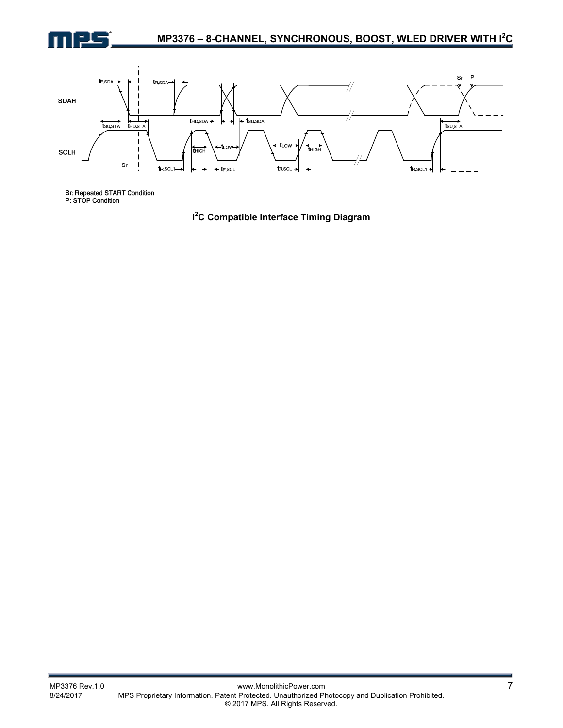



Sr. Repeated START Condition<br>P: STOP Condition

**I 2 C Compatible Interface Timing Diagram**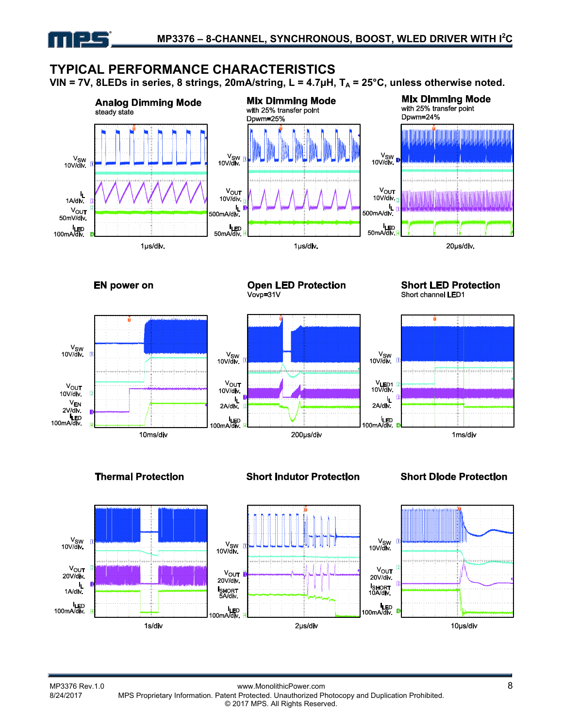

# **TYPICAL PERFORMANCE CHARACTERISTICS**

VIN = 7V, 8LEDs in series, 8 strings, 20mA/string, L =  $4.7\mu$ H, T<sub>A</sub> =  $25^{\circ}$ C, unless otherwise noted.











**Short LED Protection** Short channel LED1



**Thermal Protection** 

**Short Indutor Protection** 

**Short Diode Protection** 

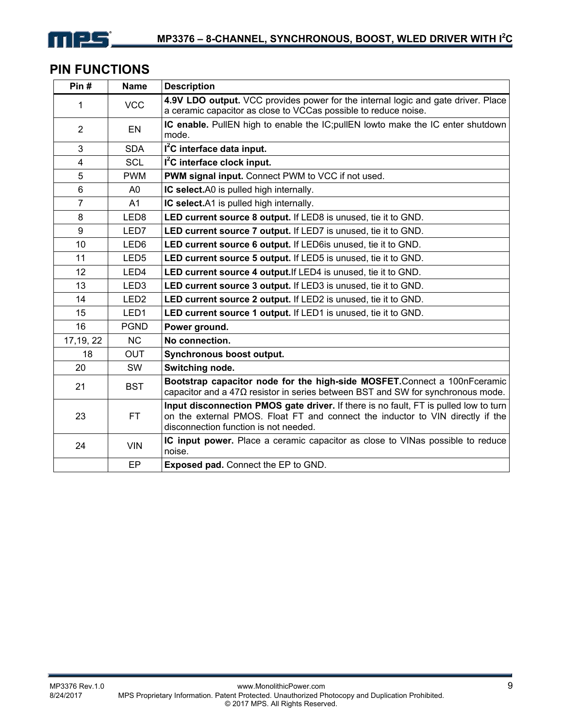

# **PIN FUNCTIONS**

| Pin#           | <b>Name</b>      | <b>Description</b>                                                                                                                                                                                              |
|----------------|------------------|-----------------------------------------------------------------------------------------------------------------------------------------------------------------------------------------------------------------|
| 1              | <b>VCC</b>       | 4.9V LDO output. VCC provides power for the internal logic and gate driver. Place                                                                                                                               |
|                |                  | a ceramic capacitor as close to VCCas possible to reduce noise.                                                                                                                                                 |
| $\overline{2}$ | EN               | IC enable. PullEN high to enable the IC; pullEN lowto make the IC enter shutdown<br>mode.                                                                                                                       |
| 3              | <b>SDA</b>       | $I2C$ interface data input.                                                                                                                                                                                     |
| 4              | <b>SCL</b>       | I <sup>2</sup> C interface clock input.                                                                                                                                                                         |
| 5              | <b>PWM</b>       | PWM signal input. Connect PWM to VCC if not used.                                                                                                                                                               |
| 6              | A0               | IC select.A0 is pulled high internally.                                                                                                                                                                         |
| $\overline{7}$ | A <sub>1</sub>   | IC select.A1 is pulled high internally.                                                                                                                                                                         |
| 8              | LED <sub>8</sub> | LED current source 8 output. If LED8 is unused, tie it to GND.                                                                                                                                                  |
| 9              | LED7             | LED current source 7 output. If LED7 is unused, tie it to GND.                                                                                                                                                  |
| 10             | LED6             | LED current source 6 output. If LED6is unused, tie it to GND.                                                                                                                                                   |
| 11             | LED <sub>5</sub> | LED current source 5 output. If LED5 is unused, tie it to GND.                                                                                                                                                  |
| 12             | LED <sub>4</sub> | LED current source 4 output. If LED4 is unused, tie it to GND.                                                                                                                                                  |
| 13             | LED <sub>3</sub> | LED current source 3 output. If LED3 is unused, tie it to GND.                                                                                                                                                  |
| 14             | LED <sub>2</sub> | LED current source 2 output. If LED2 is unused, tie it to GND.                                                                                                                                                  |
| 15             | LED <sub>1</sub> | LED current source 1 output. If LED1 is unused, tie it to GND.                                                                                                                                                  |
| 16             | <b>PGND</b>      | Power ground.                                                                                                                                                                                                   |
| 17, 19, 22     | <b>NC</b>        | No connection.                                                                                                                                                                                                  |
| 18             | <b>OUT</b>       | Synchronous boost output.                                                                                                                                                                                       |
| 20             | SW               | Switching node.                                                                                                                                                                                                 |
| 21             | <b>BST</b>       | Bootstrap capacitor node for the high-side MOSFET.Connect a 100nFceramic<br>capacitor and a $47\Omega$ resistor in series between BST and SW for synchronous mode.                                              |
| 23             | FT.              | Input disconnection PMOS gate driver. If there is no fault, FT is pulled low to turn<br>on the external PMOS. Float FT and connect the inductor to VIN directly if the<br>disconnection function is not needed. |
| 24             | <b>VIN</b>       | IC input power. Place a ceramic capacitor as close to VINas possible to reduce<br>noise.                                                                                                                        |
|                | EP               | <b>Exposed pad.</b> Connect the EP to GND.                                                                                                                                                                      |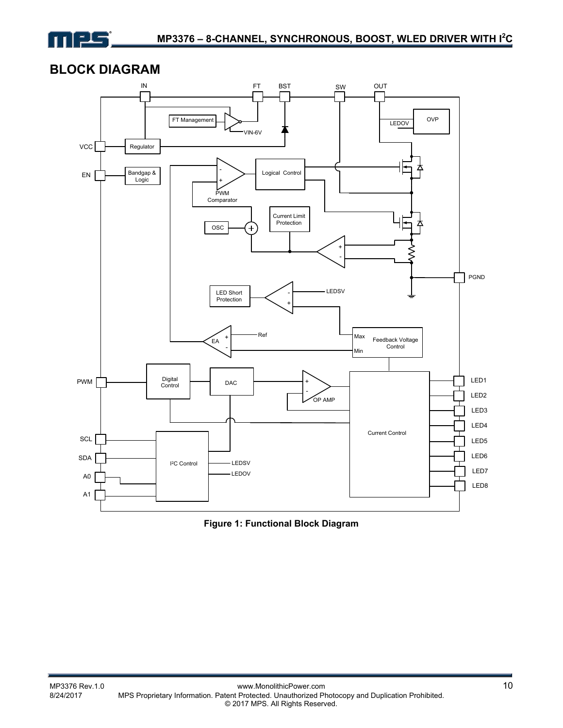

# **BLOCK DIAGRAM**



**Figure 1: Functional Block Diagram**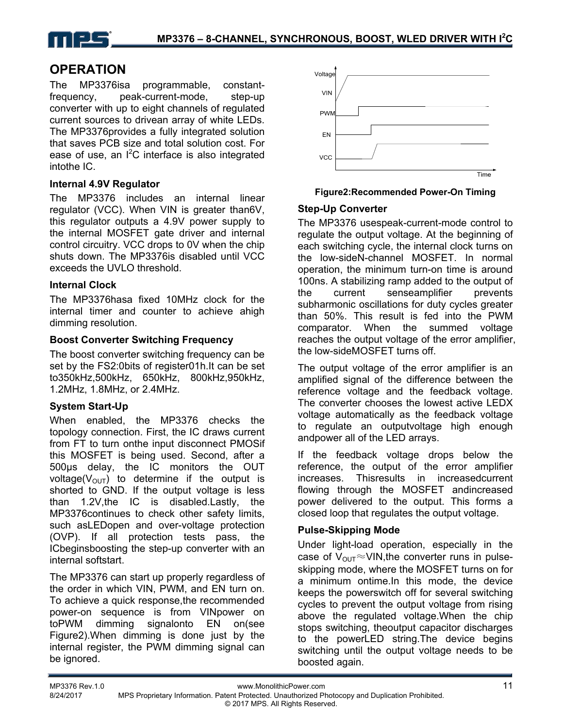

# **OPERATION**

The MP3376isa programmable, constantfrequency, peak-current-mode, step-up converter with up to eight channels of regulated current sources to drivean array of white LEDs. The MP3376provides a fully integrated solution that saves PCB size and total solution cost. For ease of use, an  $I^2C$  interface is also integrated intothe IC.

### **Internal 4.9V Regulator**

The MP3376 includes an internal linear regulator (VCC). When VIN is greater than6V, this regulator outputs a 4.9V power supply to the internal MOSFET gate driver and internal control circuitry. VCC drops to 0V when the chip shuts down. The MP3376is disabled until VCC exceeds the UVLO threshold.

#### **Internal Clock**

The MP3376hasa fixed 10MHz clock for the internal timer and counter to achieve ahigh dimming resolution.

### **Boost Converter Switching Frequency**

The boost converter switching frequency can be set by the FS2:0bits of register01h.It can be set to350kHz,500kHz, 650kHz, 800kHz,950kHz, 1.2MHz, 1.8MHz, or 2.4MHz.

# **System Start-Up**

When enabled, the MP3376 checks the topology connection. First, the IC draws current from FT to turn onthe input disconnect PMOSif this MOSFET is being used. Second, after a 500µs delay, the IC monitors the OUT voltage( $V_{\text{OUT}}$ ) to determine if the output is shorted to GND. If the output voltage is less than 1.2V,the IC is disabled.Lastly, the MP3376continues to check other safety limits, such asLEDopen and over-voltage protection (OVP). If all protection tests pass, the ICbeginsboosting the step-up converter with an internal softstart.

The MP3376 can start up properly regardless of the order in which VIN, PWM, and EN turn on. To achieve a quick response,the recommended power-on sequence is from VINpower on toPWM dimming signalonto EN on(see Figure2).When dimming is done just by the internal register, the PWM dimming signal can be ignored.



**Figure2:Recommended Power-On Timing** 

### **Step-Up Converter**

The MP3376 usespeak-current-mode control to regulate the output voltage. At the beginning of each switching cycle, the internal clock turns on the low-sideN-channel MOSFET. In normal operation, the minimum turn-on time is around 100ns. A stabilizing ramp added to the output of the current senseamplifier prevents subharmonic oscillations for duty cycles greater than 50%. This result is fed into the PWM comparator. When the summed voltage reaches the output voltage of the error amplifier, the low-sideMOSFET turns off.

The output voltage of the error amplifier is an amplified signal of the difference between the reference voltage and the feedback voltage. The converter chooses the lowest active LEDX voltage automatically as the feedback voltage to regulate an outputvoltage high enough andpower all of the LED arrays.

If the feedback voltage drops below the reference, the output of the error amplifier increases. Thisresults in increasedcurrent flowing through the MOSFET andincreased power delivered to the output. This forms a closed loop that regulates the output voltage.

# **Pulse-Skipping Mode**

Under light-load operation, especially in the case of  $V_{\text{OUT}} \approx$  VIN, the converter runs in pulseskipping mode, where the MOSFET turns on for a minimum ontime.In this mode, the device keeps the powerswitch off for several switching cycles to prevent the output voltage from rising above the regulated voltage.When the chip stops switching, theoutput capacitor discharges to the powerLED string.The device begins switching until the output voltage needs to be boosted again.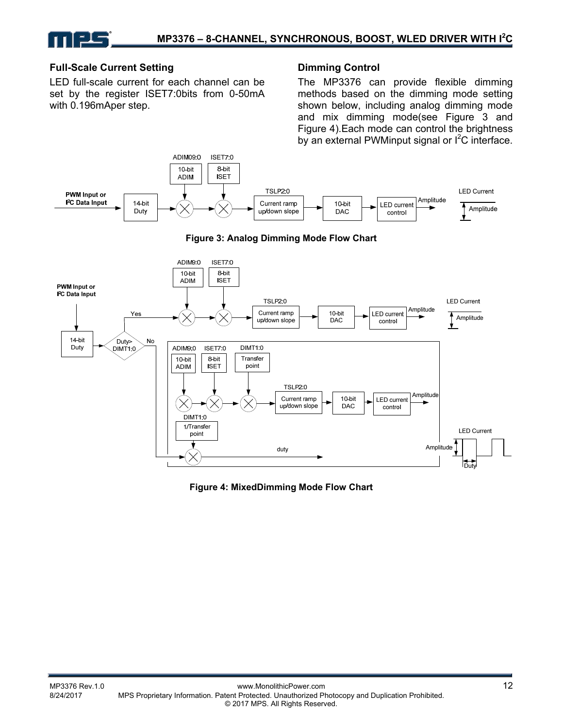### **Full-Scale Current Setting**

LED full-scale current for each channel can be set by the register ISET7:0bits from 0-50mA with 0.196mAper step.

### **Dimming Control**

The MP3376 can provide flexible dimming methods based on the dimming mode setting shown below, including analog dimming mode and mix dimming mode(see Figure 3 and Figure 4).Each mode can control the brightness by an external PWMinput signal or  $I^2C$  interface.



**Figure 4: MixedDimming Mode Flow Chart**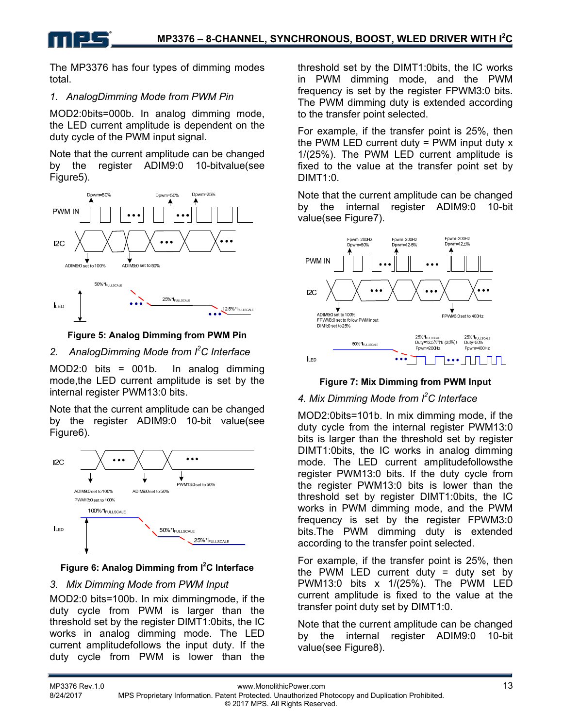The MP3376 has four types of dimming modes total.

# *1. AnalogDimming Mode from PWM Pin*

MOD2:0bits=000b. In analog dimming mode, the LED current amplitude is dependent on the duty cycle of the PWM input signal.

Note that the current amplitude can be changed by the register ADIM9:0 10-bitvalue(see Figure5).



**Figure 5: Analog Dimming from PWM Pin** 

# *2. AnalogDimming Mode from I<sup>2</sup> C Interface*

MOD2:0 bits = 001b. In analog dimming mode,the LED current amplitude is set by the internal register PWM13:0 bits.

Note that the current amplitude can be changed by the register ADIM9:0 10-bit value(see Figure6).



# **Figure 6: Analog Dimming from I<sup>2</sup>C Interface**

# *3. Mix Dimming Mode from PWM Input*

MOD2:0 bits=100b. In mix dimmingmode, if the duty cycle from PWM is larger than the threshold set by the register DIMT1:0bits, the IC works in analog dimming mode. The LED current amplitudefollows the input duty. If the duty cycle from PWM is lower than the threshold set by the DIMT1:0bits, the IC works in PWM dimming mode, and the PWM frequency is set by the register FPWM3:0 bits. The PWM dimming duty is extended according to the transfer point selected.

For example, if the transfer point is 25%, then the PWM LED current duty  $=$  PWM input duty  $x$ 1/(25%). The PWM LED current amplitude is fixed to the value at the transfer point set by DIMT1:0.

Note that the current amplitude can be changed by the internal register ADIM9:0 10-bit value(see Figure7).



# **Figure 7: Mix Dimming from PWM Input**

# *4. Mix Dimming Mode from I2 C Interface*

MOD2:0bits=101b. In mix dimming mode, if the duty cycle from the internal register PWM13:0 bits is larger than the threshold set by register DIMT1:0bits, the IC works in analog dimming mode. The LED current amplitudefollowsthe register PWM13:0 bits. If the duty cycle from the register PWM13:0 bits is lower than the threshold set by register DIMT1:0bits, the IC works in PWM dimming mode, and the PWM frequency is set by the register FPWM3:0 bits.The PWM dimming duty is extended according to the transfer point selected.

For example, if the transfer point is 25%, then the PWM LED current duty  $=$  duty set by PWM13:0 bits x 1/(25%). The PWM LED current amplitude is fixed to the value at the transfer point duty set by DIMT1:0.

Note that the current amplitude can be changed by the internal register ADIM9:0 10-bit value(see Figure8).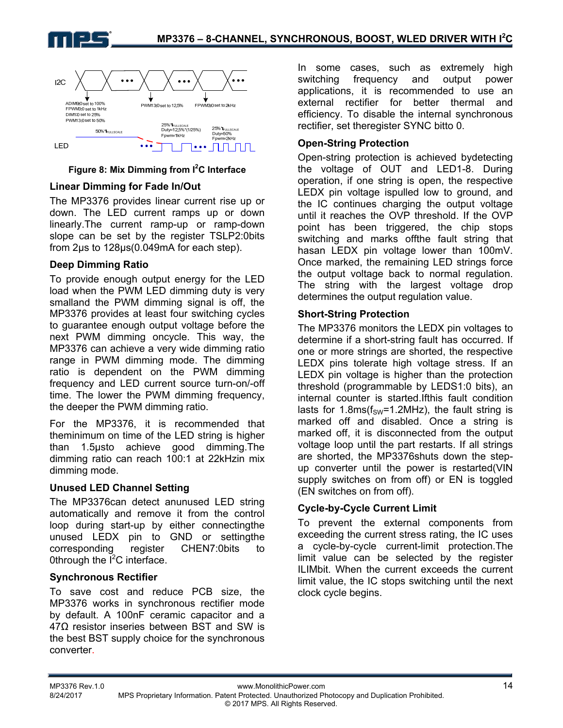



### Figure 8: Mix Dimming from <sup>2</sup>C Interface

### **Linear Dimming for Fade In/Out**

The MP3376 provides linear current rise up or down. The LED current ramps up or down linearly.The current ramp-up or ramp-down slope can be set by the register TSLP2:0bits from 2µs to 128µs(0.049mA for each step).

#### **Deep Dimming Ratio**

To provide enough output energy for the LED load when the PWM LED dimming duty is very smalland the PWM dimming signal is off, the MP3376 provides at least four switching cycles to guarantee enough output voltage before the next PWM dimming oncycle. This way, the MP3376 can achieve a very wide dimming ratio range in PWM dimming mode. The dimming ratio is dependent on the PWM dimming frequency and LED current source turn-on/-off time. The lower the PWM dimming frequency, the deeper the PWM dimming ratio.

For the MP3376, it is recommended that theminimum on time of the LED string is higher than 1.5µsto achieve good dimming.The dimming ratio can reach 100:1 at 22kHzin mix dimming mode.

#### **Unused LED Channel Setting**

The MP3376can detect anunused LED string automatically and remove it from the control loop during start-up by either connectingthe unused LEDX pin to GND or settingthe corresponding register CHEN7:0bits to Othrough the  $I^2C$  interface.

#### **Synchronous Rectifier**

To save cost and reduce PCB size, the MP3376 works in synchronous rectifier mode by default. A 100nF ceramic capacitor and a 47Ω resistor inseries between BST and SW is the best BST supply choice for the synchronous converter.

In some cases, such as extremely high switching frequency and output power applications, it is recommended to use an external rectifier for better thermal and efficiency. To disable the internal synchronous rectifier, set theregister SYNC bitto 0.

### **Open-String Protection**

Open-string protection is achieved bydetecting the voltage of OUT and LED1-8. During operation, if one string is open, the respective LEDX pin voltage ispulled low to ground, and the IC continues charging the output voltage until it reaches the OVP threshold. If the OVP point has been triggered, the chip stops switching and marks offthe fault string that hasan LEDX pin voltage lower than 100mV. Once marked, the remaining LED strings force the output voltage back to normal regulation. The string with the largest voltage drop determines the output regulation value.

#### **Short-String Protection**

The MP3376 monitors the LEDX pin voltages to determine if a short-string fault has occurred. If one or more strings are shorted, the respective LEDX pins tolerate high voltage stress. If an LEDX pin voltage is higher than the protection threshold (programmable by LEDS1:0 bits), an internal counter is started.Ifthis fault condition lasts for 1.8ms( $f_{SW}$ =1.2MHz), the fault string is marked off and disabled. Once a string is marked off, it is disconnected from the output voltage loop until the part restarts. If all strings are shorted, the MP3376shuts down the stepup converter until the power is restarted(VIN supply switches on from off) or EN is toggled (EN switches on from off).

# **Cycle-by-Cycle Current Limit**

To prevent the external components from exceeding the current stress rating, the IC uses a cycle-by-cycle current-limit protection.The limit value can be selected by the register ILIMbit. When the current exceeds the current limit value, the IC stops switching until the next clock cycle begins.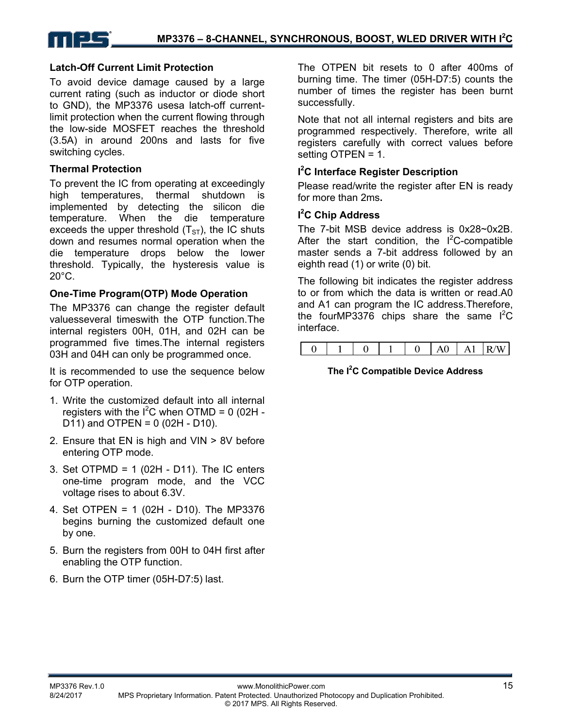

#### **Latch-Off Current Limit Protection**

To avoid device damage caused by a large current rating (such as inductor or diode short to GND), the MP3376 usesa latch-off currentlimit protection when the current flowing through the low-side MOSFET reaches the threshold (3.5A) in around 200ns and lasts for five switching cycles.

#### **Thermal Protection**

To prevent the IC from operating at exceedingly high temperatures, thermal shutdown is implemented by detecting the silicon die temperature. When the die temperature exceeds the upper threshold  $(T<sub>ST</sub>)$ , the IC shuts down and resumes normal operation when the die temperature drops below the lower threshold. Typically, the hysteresis value is 20°C.

#### **One-Time Program(OTP) Mode Operation**

The MP3376 can change the register default valuesseveral timeswith the OTP function.The internal registers 00H, 01H, and 02H can be programmed five times.The internal registers 03H and 04H can only be programmed once.

It is recommended to use the sequence below for OTP operation.

- 1. Write the customized default into all internal registers with the  $I^2C$  when OTMD = 0 (02H -D11) and OTPEN =  $0(02H - D10)$ .
- 2. Ensure that EN is high and VIN > 8V before entering OTP mode.
- 3. Set OTPMD = 1 (02H D11). The IC enters one-time program mode, and the VCC voltage rises to about 6.3V.
- 4. Set OTPEN = 1 (02H D10). The MP3376 begins burning the customized default one by one.
- 5. Burn the registers from 00H to 04H first after enabling the OTP function.
- 6. Burn the OTP timer (05H-D7:5) last.

The OTPEN bit resets to 0 after 400ms of burning time. The timer (05H-D7:5) counts the number of times the register has been burnt successfully.

Note that not all internal registers and bits are programmed respectively. Therefore, write all registers carefully with correct values before setting OTPEN = 1.

### **I 2 C Interface Register Description**

Please read/write the register after EN is ready for more than 2ms**.** 

### **I 2 C Chip Address**

The 7-bit MSB device address is 0x28~0x2B. After the start condition, the  $I^2C$ -compatible master sends a 7-bit address followed by an eighth read (1) or write (0) bit.

The following bit indicates the register address to or from which the data is written or read.A0 and A1 can program the IC address.Therefore, the fourMP3376 chips share the same  $I^2C$ interface.

|--|--|--|--|--|--|--|--|--|

#### **The I2 C Compatible Device Address**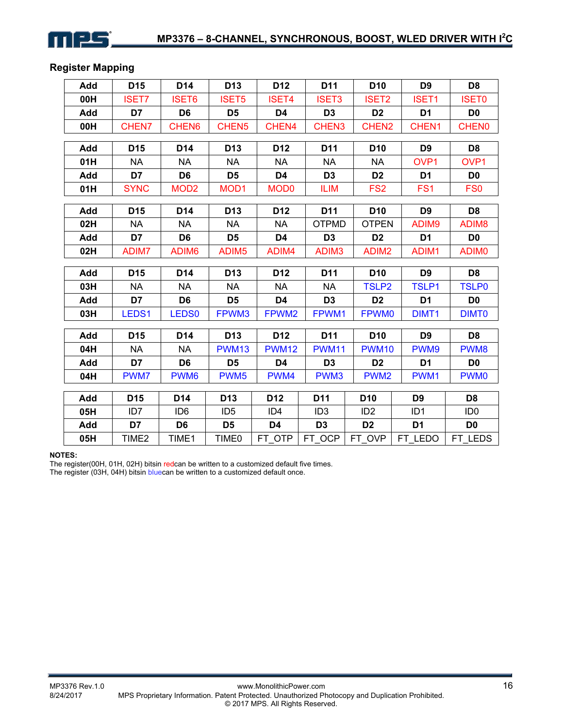

# **Register Mapping**

| Add | D <sub>15</sub>   | D14               | D <sub>13</sub>   | D <sub>12</sub>   | D11               | D <sub>10</sub>   | D <sub>9</sub>    | D <sub>8</sub>    |
|-----|-------------------|-------------------|-------------------|-------------------|-------------------|-------------------|-------------------|-------------------|
| 00H | <b>ISET7</b>      | <b>ISET6</b>      | <b>ISET5</b>      | <b>ISET4</b>      | <b>ISET3</b>      | <b>ISET2</b>      | <b>ISET1</b>      | <b>ISET0</b>      |
| Add | D7                | D6                | D <sub>5</sub>    | D4                | D <sub>3</sub>    | D <sub>2</sub>    | D <sub>1</sub>    | D <sub>0</sub>    |
| 00H | CHEN7             | CHEN6             | CHEN <sub>5</sub> | CHEN4             | CHEN3             | CHEN <sub>2</sub> | CHEN1             | <b>CHEN0</b>      |
| Add | D <sub>15</sub>   | D <sub>14</sub>   | D <sub>13</sub>   | D <sub>12</sub>   | D11               | D <sub>10</sub>   | D <sub>9</sub>    | D <sub>8</sub>    |
| 01H | <b>NA</b>         | <b>NA</b>         | <b>NA</b>         | <b>NA</b>         | <b>NA</b>         | <b>NA</b>         | OV <sub>P1</sub>  | OVP1              |
| Add | D7                | D <sub>6</sub>    | D <sub>5</sub>    | D <sub>4</sub>    | D <sub>3</sub>    | D <sub>2</sub>    | D <sub>1</sub>    | D <sub>0</sub>    |
| 01H | <b>SYNC</b>       | MOD <sub>2</sub>  | MOD <sub>1</sub>  | <b>MOD0</b>       | <b>ILIM</b>       | FS <sub>2</sub>   | FS <sub>1</sub>   | FS <sub>0</sub>   |
|     |                   |                   |                   |                   |                   |                   |                   |                   |
| Add | D <sub>15</sub>   | D14               | D <sub>13</sub>   | D <sub>12</sub>   | D <sub>11</sub>   | D <sub>10</sub>   | D <sub>9</sub>    | D <sub>8</sub>    |
| 02H | <b>NA</b>         | <b>NA</b>         | <b>NA</b>         | <b>NA</b>         | <b>OTPMD</b>      | <b>OTPEN</b>      | ADIM9             | ADIM <sub>8</sub> |
| Add | D7                | D <sub>6</sub>    | D <sub>5</sub>    | D4                | D <sub>3</sub>    | D <sub>2</sub>    | D <sub>1</sub>    | D <sub>0</sub>    |
| 02H | ADIM7             | ADIM <sub>6</sub> | ADIM <sub>5</sub> | ADIM4             | ADIM <sub>3</sub> | ADIM <sub>2</sub> | ADIM1             | ADIM <sub>0</sub> |
| Add | D <sub>15</sub>   | D <sub>14</sub>   | D <sub>13</sub>   | D <sub>12</sub>   | D <sub>11</sub>   | D <sub>10</sub>   | D <sub>9</sub>    | D <sub>8</sub>    |
| 03H | <b>NA</b>         | <b>NA</b>         | <b>NA</b>         | <b>NA</b>         | <b>NA</b>         | <b>TSLP2</b>      | <b>TSLP1</b>      | <b>TSLP0</b>      |
| Add | D7                | D <sub>6</sub>    | D <sub>5</sub>    | D <sub>4</sub>    | D <sub>3</sub>    | D <sub>2</sub>    | D <sub>1</sub>    | D <sub>0</sub>    |
| 03H | LEDS1             | <b>LEDS0</b>      | FPWM3             | FPWM <sub>2</sub> | FPWM1             | <b>FPWM0</b>      | DIMT <sub>1</sub> | <b>DIMT0</b>      |
| Add | D <sub>15</sub>   | D14               | D <sub>13</sub>   | D <sub>12</sub>   | D11               | D <sub>10</sub>   | D <sub>9</sub>    | D <sub>8</sub>    |
| 04H | <b>NA</b>         | <b>NA</b>         | <b>PWM13</b>      | <b>PWM12</b>      | <b>PWM11</b>      | <b>PWM10</b>      | PWM9              | PWM8              |
| Add | D7                | D <sub>6</sub>    | D <sub>5</sub>    | D4                | D <sub>3</sub>    | D <sub>2</sub>    | D <sub>1</sub>    | D <sub>0</sub>    |
| 04H | PWM7              | PWM <sub>6</sub>  | PWM <sub>5</sub>  | PWM4              | PWM3              | PWM <sub>2</sub>  | PWM1              | <b>PWM0</b>       |
|     |                   |                   |                   |                   |                   |                   |                   |                   |
| Add | D <sub>15</sub>   | D <sub>14</sub>   | D <sub>13</sub>   | D <sub>12</sub>   | D11               | D <sub>10</sub>   | D <sub>9</sub>    | D <sub>8</sub>    |
| 05H | ID7               | ID <sub>6</sub>   | ID <sub>5</sub>   | ID <sub>4</sub>   | ID <sub>3</sub>   | ID <sub>2</sub>   | ID <sub>1</sub>   | ID <sub>0</sub>   |
| Add | D7                | D <sub>6</sub>    | D <sub>5</sub>    | D4                | D <sub>3</sub>    | D <sub>2</sub>    | D <sub>1</sub>    | D <sub>0</sub>    |
| 05H | TIME <sub>2</sub> | TIME1             | TIME0             | FT OTP            | FT_OCP            | FT_OVP            | FT LEDO           | FT_LEDS           |

#### **NOTES:**

The register(00H, 01H, 02H) bitsin redcan be written to a customized default five times. The register (03H, 04H) bitsin bluecan be written to a customized default once.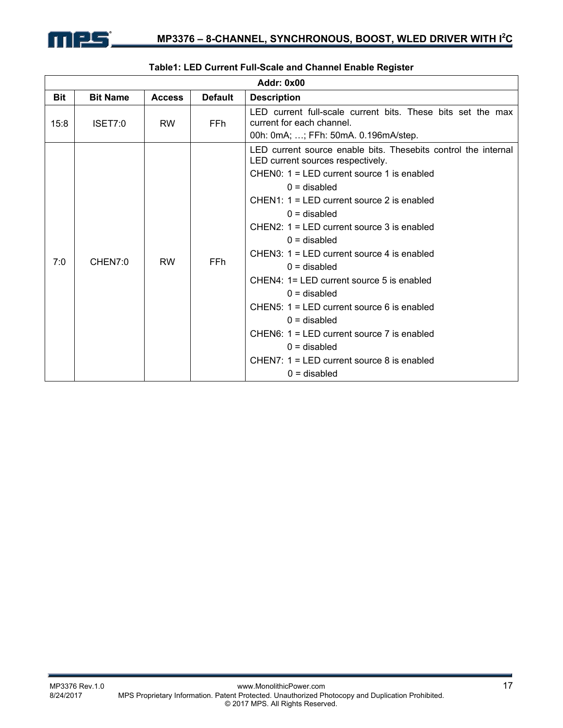

|            |                 |               |                | <b>Addr: 0x00</b>                                                                                                                                                                                                                                                                                                                                                                                                                                                                                                                                                                                                                              |
|------------|-----------------|---------------|----------------|------------------------------------------------------------------------------------------------------------------------------------------------------------------------------------------------------------------------------------------------------------------------------------------------------------------------------------------------------------------------------------------------------------------------------------------------------------------------------------------------------------------------------------------------------------------------------------------------------------------------------------------------|
| <b>Bit</b> | <b>Bit Name</b> | <b>Access</b> | <b>Default</b> | <b>Description</b>                                                                                                                                                                                                                                                                                                                                                                                                                                                                                                                                                                                                                             |
| 15:8       | ISET7:0         | <b>RW</b>     | <b>FFh</b>     | LED current full-scale current bits. These bits set the max<br>current for each channel.<br>00h: 0mA; ; FFh: 50mA. 0.196mA/step.                                                                                                                                                                                                                                                                                                                                                                                                                                                                                                               |
| 7:0        | CHEN7:0         | <b>RW</b>     | FFh.           | LED current source enable bits. Thesebits control the internal<br>LED current sources respectively.<br>CHENO: $1 = LED$ current source 1 is enabled<br>$0 =$ disabled<br>$CHEN1: 1 = LED$ current source 2 is enabled<br>$0 =$ disabled<br>$CHEN2: 1 = LED$ current source 3 is enabled<br>$0 =$ disabled<br>CHEN3: $1 = LED$ current source 4 is enabled<br>$0 =$ disabled<br>CHEN4: 1= LED current source 5 is enabled<br>$0 =$ disabled<br>CHEN5: $1 = LED$ current source 6 is enabled<br>$0 =$ disabled<br>CHEN6: $1 = LED$ current source 7 is enabled<br>$0 =$ disabled<br>CHEN7: 1 = LED current source 8 is enabled<br>$0 =$ disabled |

#### **Table1: LED Current Full-Scale and Channel Enable Register**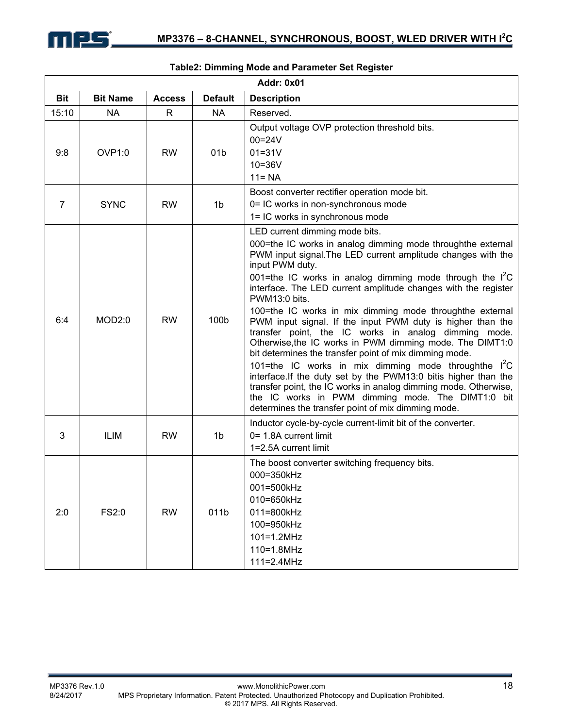

|                |                 |               |                 | <b>Addr: 0x01</b>                                                                                                                                                                                                                                                                                                                                                                                                                                                                                                                                                                                                                                                                                                                                                                                                                                                                                                                                              |
|----------------|-----------------|---------------|-----------------|----------------------------------------------------------------------------------------------------------------------------------------------------------------------------------------------------------------------------------------------------------------------------------------------------------------------------------------------------------------------------------------------------------------------------------------------------------------------------------------------------------------------------------------------------------------------------------------------------------------------------------------------------------------------------------------------------------------------------------------------------------------------------------------------------------------------------------------------------------------------------------------------------------------------------------------------------------------|
| <b>Bit</b>     | <b>Bit Name</b> | <b>Access</b> | <b>Default</b>  | <b>Description</b>                                                                                                                                                                                                                                                                                                                                                                                                                                                                                                                                                                                                                                                                                                                                                                                                                                                                                                                                             |
| 15:10          | <b>NA</b>       | R             | <b>NA</b>       | Reserved.                                                                                                                                                                                                                                                                                                                                                                                                                                                                                                                                                                                                                                                                                                                                                                                                                                                                                                                                                      |
| 9:8            | OVP1:0          | <b>RW</b>     | 01 <sub>b</sub> | Output voltage OVP protection threshold bits.<br>$00 = 24V$<br>$01 = 31V$<br>$10 = 36V$<br>$11 = NA$                                                                                                                                                                                                                                                                                                                                                                                                                                                                                                                                                                                                                                                                                                                                                                                                                                                           |
| $\overline{7}$ | <b>SYNC</b>     | <b>RW</b>     | 1 <sub>b</sub>  | Boost converter rectifier operation mode bit.<br>0= IC works in non-synchronous mode<br>1= IC works in synchronous mode                                                                                                                                                                                                                                                                                                                                                                                                                                                                                                                                                                                                                                                                                                                                                                                                                                        |
| 6:4            | MOD2:0          | <b>RW</b>     | 100b            | LED current dimming mode bits.<br>000=the IC works in analog dimming mode throughthe external<br>PWM input signal. The LED current amplitude changes with the<br>input PWM duty.<br>001=the IC works in analog dimming mode through the $I^2C$<br>interface. The LED current amplitude changes with the register<br>PWM13:0 bits.<br>100=the IC works in mix dimming mode throughthe external<br>PWM input signal. If the input PWM duty is higher than the<br>transfer point, the IC works in analog dimming mode.<br>Otherwise, the IC works in PWM dimming mode. The DIMT1:0<br>bit determines the transfer point of mix dimming mode.<br>101=the IC works in mix dimming mode throughthe I <sup>2</sup> C<br>interface. If the duty set by the PWM13:0 bitis higher than the<br>transfer point, the IC works in analog dimming mode. Otherwise,<br>the IC works in PWM dimming mode. The DIMT1:0 bit<br>determines the transfer point of mix dimming mode. |
| 3              | <b>ILIM</b>     | <b>RW</b>     | 1b              | Inductor cycle-by-cycle current-limit bit of the converter.<br>0= 1.8A current limit<br>1=2.5A current limit                                                                                                                                                                                                                                                                                                                                                                                                                                                                                                                                                                                                                                                                                                                                                                                                                                                   |
| 2:0            | FS2:0           | <b>RW</b>     | 011b            | The boost converter switching frequency bits.<br>000=350kHz<br>001=500kHz<br>010=650kHz<br>011=800kHz<br>100=950kHz<br>$101=1.2MHz$<br>110=1.8MHz<br>111=2.4MHz                                                                                                                                                                                                                                                                                                                                                                                                                                                                                                                                                                                                                                                                                                                                                                                                |

### **Table2: Dimming Mode and Parameter Set Register**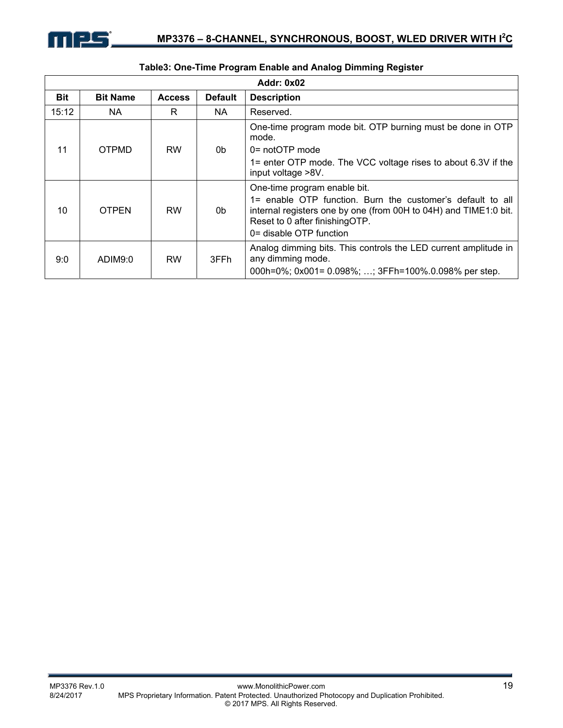|            |                 |               |                | <b>Addr: 0x02</b>                                                                                                                                                                                                           |
|------------|-----------------|---------------|----------------|-----------------------------------------------------------------------------------------------------------------------------------------------------------------------------------------------------------------------------|
| <b>Bit</b> | <b>Bit Name</b> | <b>Access</b> | <b>Default</b> | <b>Description</b>                                                                                                                                                                                                          |
| 15:12      | NA.             | R             | NA.            | Reserved.                                                                                                                                                                                                                   |
| 11         | <b>OTPMD</b>    | <b>RW</b>     | 0b             | One-time program mode bit. OTP burning must be done in OTP<br>mode.<br>$0 = not$ OTP mode<br>1= enter OTP mode. The VCC voltage rises to about 6.3V if the<br>input voltage >8V.                                            |
| 10         | <b>OTPEN</b>    | <b>RW</b>     | 0b             | One-time program enable bit.<br>1= enable OTP function. Burn the customer's default to all<br>internal registers one by one (from 00H to 04H) and TIME1:0 bit.<br>Reset to 0 after finishingOTP.<br>0= disable OTP function |
| 9:0        | ADIM9:0         | <b>RW</b>     | 3FFh           | Analog dimming bits. This controls the LED current amplitude in<br>any dimming mode.<br>000h=0%; 0x001= 0.098%; ; 3FFh=100%.0.098% per step.                                                                                |

# **Table3: One-Time Program Enable and Analog Dimming Register**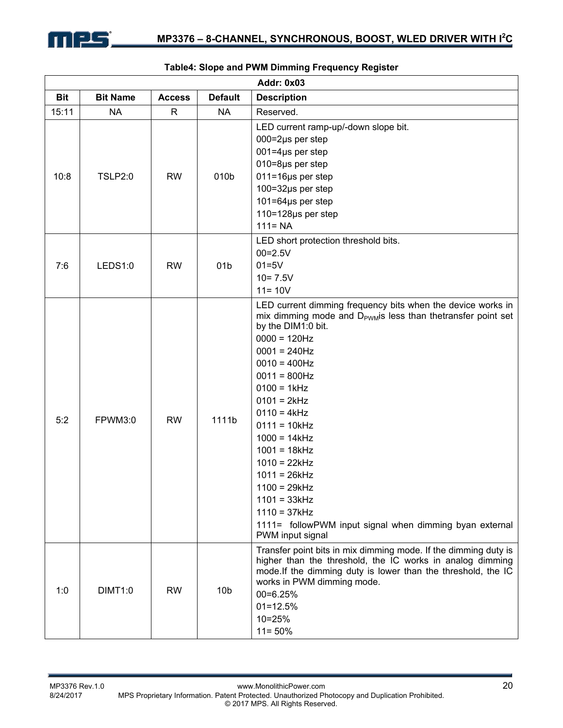

|            |                 |               |                 | Addr: 0x03                                                                                                                                                                                                                                                                                                                                                                                                                                                                                                                  |
|------------|-----------------|---------------|-----------------|-----------------------------------------------------------------------------------------------------------------------------------------------------------------------------------------------------------------------------------------------------------------------------------------------------------------------------------------------------------------------------------------------------------------------------------------------------------------------------------------------------------------------------|
| <b>Bit</b> | <b>Bit Name</b> | <b>Access</b> | <b>Default</b>  | <b>Description</b>                                                                                                                                                                                                                                                                                                                                                                                                                                                                                                          |
| 15:11      | <b>NA</b>       | $\mathsf{R}$  | <b>NA</b>       | Reserved.                                                                                                                                                                                                                                                                                                                                                                                                                                                                                                                   |
| 10:8       | <b>TSLP2:0</b>  | <b>RW</b>     | 010b            | LED current ramp-up/-down slope bit.<br>$000 = 2\mu s$ per step<br>$001 = 4\mu s$ per step<br>010=8µs per step<br>011=16µs per step<br>100=32µs per step<br>$101 = 64$ µs per step<br>110=128µs per step<br>$111 = NA$                                                                                                                                                                                                                                                                                                      |
| 7:6        | LEDS1:0         | <b>RW</b>     | 01 <sub>b</sub> | LED short protection threshold bits.<br>$00 = 2.5V$<br>$01=5V$<br>$10 = 7.5V$<br>$11 = 10V$                                                                                                                                                                                                                                                                                                                                                                                                                                 |
| 5:2        | FPWM3:0         | <b>RW</b>     | 1111b           | LED current dimming frequency bits when the device works in<br>mix dimming mode and D <sub>PWM</sub> is less than thetransfer point set<br>by the DIM1:0 bit.<br>$0000 = 120$ Hz<br>$0001 = 240$ Hz<br>$0010 = 400$ Hz<br>$0011 = 800$ Hz<br>$0100 = 1kHz$<br>$0101 = 2kHz$<br>$0110 = 4kHz$<br>$0111 = 10kHz$<br>$1000 = 14kHz$<br>$1001 = 18kHz$<br>$1010 = 22kHz$<br>$1011 = 26kHz$<br>$1100 = 29kHz$<br>$1101 = 33kHz$<br>$1110 = 37kHz$<br>1111= followPWM input signal when dimming byan external<br>PWM input signal |
| 1:0        | <b>DIMT1:0</b>  | <b>RW</b>     | 10 <sub>b</sub> | Transfer point bits in mix dimming mode. If the dimming duty is<br>higher than the threshold, the IC works in analog dimming<br>mode. If the dimming duty is lower than the threshold, the IC<br>works in PWM dimming mode.<br>00=6.25%<br>$01 = 12.5%$<br>10=25%<br>$11 = 50%$                                                                                                                                                                                                                                             |

#### **Table4: Slope and PWM Dimming Frequency Register**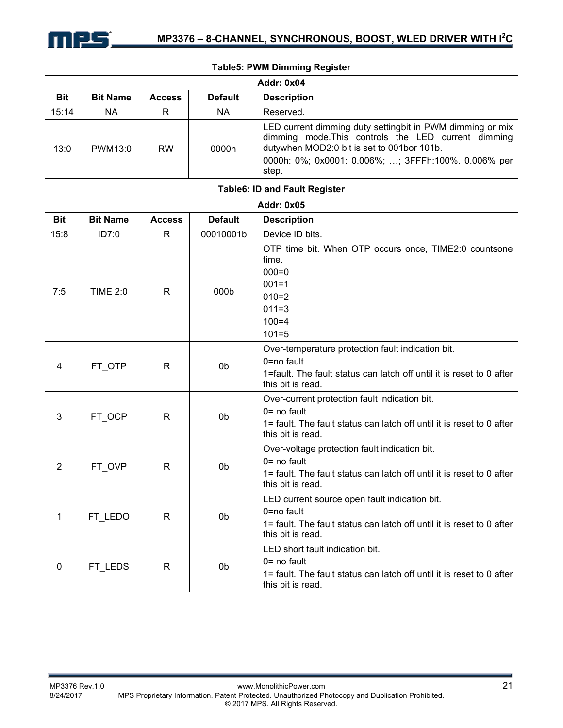

| <b>Addr: 0x04</b> |                 |               |                |                                                                                                                                                                                                                                 |  |  |  |
|-------------------|-----------------|---------------|----------------|---------------------------------------------------------------------------------------------------------------------------------------------------------------------------------------------------------------------------------|--|--|--|
| <b>Bit</b>        | <b>Bit Name</b> | <b>Access</b> | <b>Default</b> | <b>Description</b>                                                                                                                                                                                                              |  |  |  |
| 15:14             | NA              | R             | NA.            | Reserved.                                                                                                                                                                                                                       |  |  |  |
| 13:0              | PWM13:0         | <b>RW</b>     | 0000h          | LED current dimming duty setting bit in PWM dimming or mix<br>dimming mode. This controls the LED current dimming<br>dutywhen MOD2:0 bit is set to 001bor 101b.<br>0000h: 0%; 0x0001: 0.006%; ; 3FFFh:100%. 0.006% per<br>step. |  |  |  |

| <b>Table6: ID and Fault Register</b> |                 |               |                |                                                                                                                                                               |  |  |  |
|--------------------------------------|-----------------|---------------|----------------|---------------------------------------------------------------------------------------------------------------------------------------------------------------|--|--|--|
| <b>Addr: 0x05</b>                    |                 |               |                |                                                                                                                                                               |  |  |  |
| <b>Bit</b>                           | <b>Bit Name</b> | <b>Access</b> | <b>Default</b> | <b>Description</b>                                                                                                                                            |  |  |  |
| 15:8                                 | ID7:0           | R             | 00010001b      | Device ID bits.                                                                                                                                               |  |  |  |
| 7:5                                  | <b>TIME 2:0</b> | R             | 000b           | OTP time bit. When OTP occurs once, TIME2:0 countsone<br>time.<br>$000 = 0$<br>$001 = 1$<br>$010=2$<br>$011 = 3$<br>$100 = 4$<br>$101 = 5$                    |  |  |  |
| 4                                    | FT OTP          | R             | 0 <sub>b</sub> | Over-temperature protection fault indication bit.<br>0=no fault<br>1=fault. The fault status can latch off until it is reset to 0 after<br>this bit is read.  |  |  |  |
| 3                                    | FT_OCP          | $\mathsf{R}$  | 0 <sub>b</sub> | Over-current protection fault indication bit.<br>$0 = no$ fault<br>1= fault. The fault status can latch off until it is reset to 0 after<br>this bit is read. |  |  |  |
| 2                                    | FT_OVP          | $\mathsf{R}$  | 0 <sub>b</sub> | Over-voltage protection fault indication bit.<br>$0 = no$ fault<br>1= fault. The fault status can latch off until it is reset to 0 after<br>this bit is read. |  |  |  |
| 1                                    | FT_LEDO         | $\mathsf{R}$  | 0 <sub>b</sub> | LED current source open fault indication bit.<br>0=no fault<br>1= fault. The fault status can latch off until it is reset to 0 after<br>this bit is read.     |  |  |  |
| $\mathbf{0}$                         | FT LEDS         | $\mathsf{R}$  | 0 <sub>b</sub> | LED short fault indication bit.<br>$0 = no$ fault<br>1= fault. The fault status can latch off until it is reset to 0 after<br>this bit is read.               |  |  |  |

#### **Table5: PWM Dimming Register**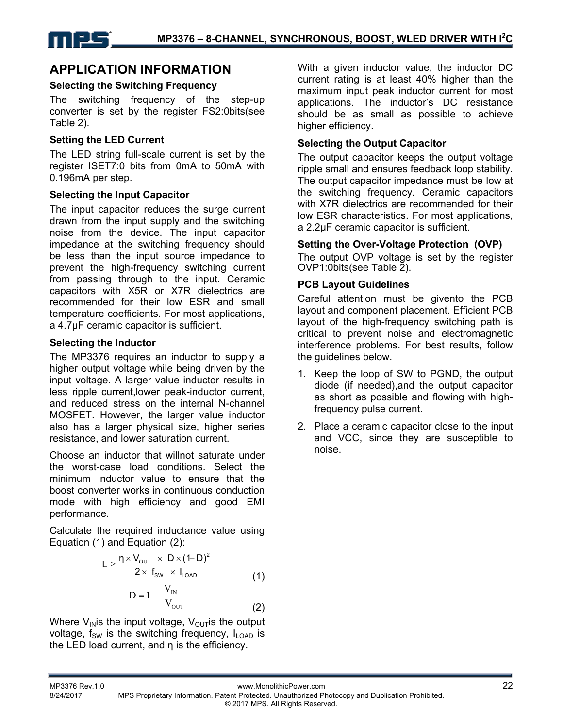# **APPLICATION INFORMATION**

### **Selecting the Switching Frequency**

The switching frequency of the step-up converter is set by the register FS2:0bits(see Table 2).

### **Setting the LED Current**

The LED string full-scale current is set by the register ISET7:0 bits from 0mA to 50mA with 0.196mA per step.

### **Selecting the Input Capacitor**

The input capacitor reduces the surge current drawn from the input supply and the switching noise from the device. The input capacitor impedance at the switching frequency should be less than the input source impedance to prevent the high-frequency switching current from passing through to the input. Ceramic capacitors with X5R or X7R dielectrics are recommended for their low ESR and small temperature coefficients. For most applications, a 4.7μF ceramic capacitor is sufficient.

### **Selecting the Inductor**

The MP3376 requires an inductor to supply a higher output voltage while being driven by the input voltage. A larger value inductor results in less ripple current,lower peak-inductor current, and reduced stress on the internal N-channel MOSFET. However, the larger value inductor also has a larger physical size, higher series resistance, and lower saturation current.

Choose an inductor that willnot saturate under the worst-case load conditions. Select the minimum inductor value to ensure that the boost converter works in continuous conduction mode with high efficiency and good EMI performance.

Calculate the required inductance value using Equation (1) and Equation (2):

$$
L \geq \frac{\eta \times V_{\text{out}} \times D \times (1-D)^2}{2 \times f_{\text{sw}} \times I_{\text{LOAD}}}
$$
(1)

$$
D = 1 - \frac{V_{\text{IN}}}{V_{\text{OUT}}} \tag{2}
$$

Where  $V_{IN}$  is the input voltage,  $V_{OUT}$  is the output voltage,  $f_{SW}$  is the switching frequency,  $I_{\text{LOAD}}$  is the LED load current, and η is the efficiency.

With a given inductor value, the inductor DC current rating is at least 40% higher than the maximum input peak inductor current for most applications. The inductor's DC resistance should be as small as possible to achieve higher efficiency.

# **Selecting the Output Capacitor**

The output capacitor keeps the output voltage ripple small and ensures feedback loop stability. The output capacitor impedance must be low at the switching frequency. Ceramic capacitors with X7R dielectrics are recommended for their low ESR characteristics. For most applications, a 2.2μF ceramic capacitor is sufficient.

#### **Setting the Over-Voltage Protection (OVP)**

The output OVP voltage is set by the register OVP1:0bits(see Table 2).

# **PCB Layout Guidelines**

Careful attention must be givento the PCB layout and component placement. Efficient PCB layout of the high-frequency switching path is critical to prevent noise and electromagnetic interference problems. For best results, follow the quidelines below.

- 1. Keep the loop of SW to PGND, the output diode (if needed),and the output capacitor as short as possible and flowing with highfrequency pulse current.
- 2. Place a ceramic capacitor close to the input and VCC, since they are susceptible to noise.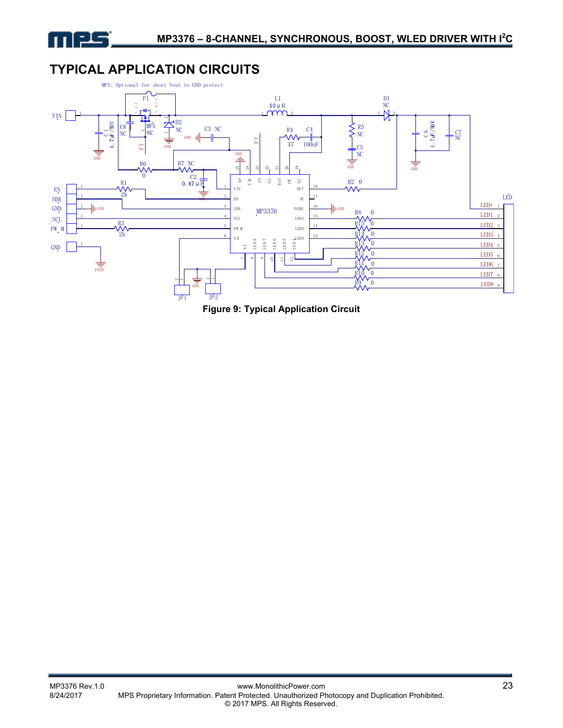

# **TYPICAL APPLICATION CIRCUITS**